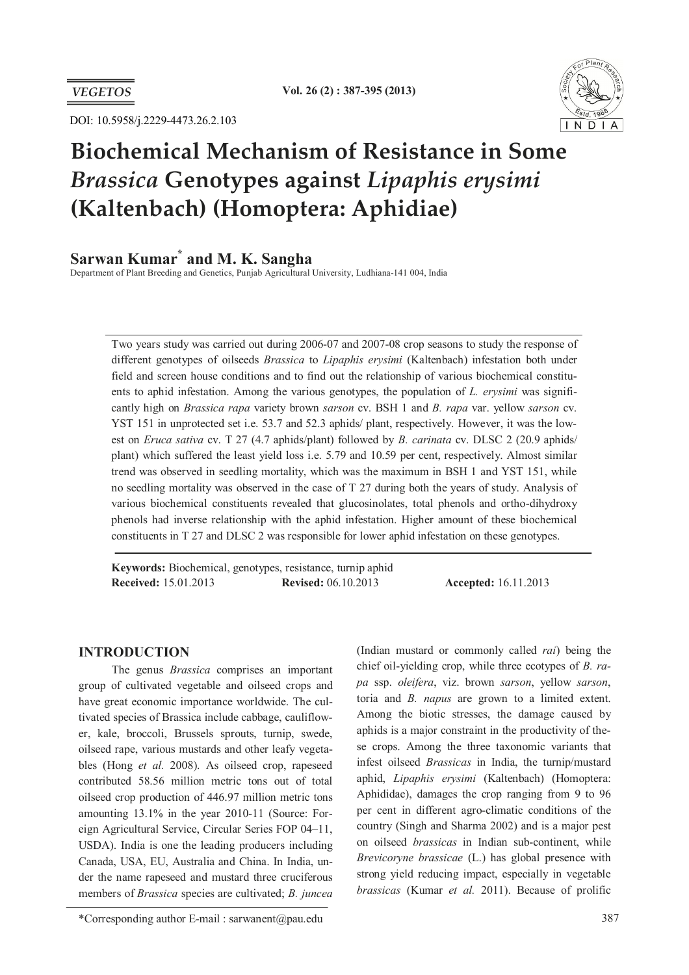

DOI: 10.5958/j.2229-4473.26.2.103

# **Biochemical Mechanism of Resistance in Some**  *Brassica* **Genotypes against** *Lipaphis erysimi*  **(Kaltenbach) (Homoptera: Aphidiae)**

# **Sarwan Kumar\* and M. K. Sangha**

Department of Plant Breeding and Genetics, Punjab Agricultural University, Ludhiana-141 004, India

Two years study was carried out during 2006-07 and 2007-08 crop seasons to study the response of different genotypes of oilseeds *Brassica* to *Lipaphis erysimi* (Kaltenbach) infestation both under field and screen house conditions and to find out the relationship of various biochemical constituents to aphid infestation. Among the various genotypes, the population of *L. erysimi* was significantly high on *Brassica rapa* variety brown *sarson* cv. BSH 1 and *B. rapa* var. yellow *sarson* cv. YST 151 in unprotected set i.e. 53.7 and 52.3 aphids/ plant, respectively. However, it was the lowest on *Eruca sativa* cv. T 27 (4.7 aphids/plant) followed by *B. carinata* cv. DLSC 2 (20.9 aphids/ plant) which suffered the least yield loss i.e. 5.79 and 10.59 per cent, respectively. Almost similar trend was observed in seedling mortality, which was the maximum in BSH 1 and YST 151, while no seedling mortality was observed in the case of T 27 during both the years of study. Analysis of various biochemical constituents revealed that glucosinolates, total phenols and ortho-dihydroxy phenols had inverse relationship with the aphid infestation. Higher amount of these biochemical constituents in T 27 and DLSC 2 was responsible for lower aphid infestation on these genotypes.

**Keywords:** Biochemical, genotypes, resistance, turnip aphid **Received:** 15.01.2013 **Revised:** 06.10.2013 **Accepted:** 16.11.2013

# **INTRODUCTION**

The genus *Brassica* comprises an important group of cultivated vegetable and oilseed crops and have great economic importance worldwide. The cultivated species of Brassica include cabbage, cauliflower, kale, broccoli, Brussels sprouts, turnip, swede, oilseed rape, various mustards and other leafy vegetables (Hong *et al.* 2008). As oilseed crop, rapeseed contributed 58.56 million metric tons out of total oilseed crop production of 446.97 million metric tons amounting 13.1% in the year 2010-11 (Source: Foreign Agricultural Service, Circular Series FOP 04–11, USDA). India is one the leading producers including Canada, USA, EU, Australia and China. In India, under the name rapeseed and mustard three cruciferous members of *Brassica* species are cultivated; *B. juncea* 

(Indian mustard or commonly called *rai*) being the chief oil-yielding crop, while three ecotypes of *B. rapa* ssp. *oleifera*, viz. brown *sarson*, yellow *sarson*, toria and *B. napus* are grown to a limited extent. Among the biotic stresses, the damage caused by aphids is a major constraint in the productivity of these crops. Among the three taxonomic variants that infest oilseed *Brassicas* in India, the turnip/mustard aphid, *Lipaphis erysimi* (Kaltenbach) (Homoptera: Aphididae), damages the crop ranging from 9 to 96 per cent in different agro-climatic conditions of the country (Singh and Sharma 2002) and is a major pest on oilseed *brassicas* in Indian sub-continent, while *Brevicoryne brassicae* (L.) has global presence with strong yield reducing impact, especially in vegetable *brassicas* (Kumar *et al.* 2011). Because of prolific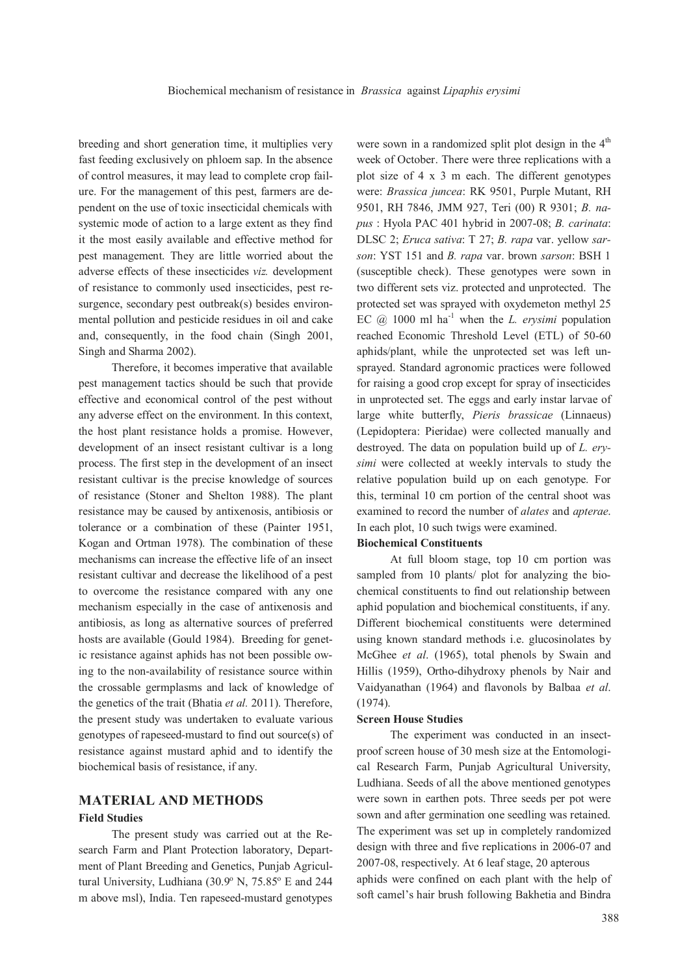breeding and short generation time, it multiplies very fast feeding exclusively on phloem sap. In the absence of control measures, it may lead to complete crop failure. For the management of this pest, farmers are dependent on the use of toxic insecticidal chemicals with systemic mode of action to a large extent as they find it the most easily available and effective method for pest management. They are little worried about the adverse effects of these insecticides *viz.* development of resistance to commonly used insecticides, pest resurgence, secondary pest outbreak(s) besides environmental pollution and pesticide residues in oil and cake and, consequently, in the food chain (Singh 2001, Singh and Sharma 2002).

Therefore, it becomes imperative that available pest management tactics should be such that provide effective and economical control of the pest without any adverse effect on the environment. In this context, the host plant resistance holds a promise. However, development of an insect resistant cultivar is a long process. The first step in the development of an insect resistant cultivar is the precise knowledge of sources of resistance (Stoner and Shelton 1988). The plant resistance may be caused by antixenosis, antibiosis or tolerance or a combination of these (Painter 1951, Kogan and Ortman 1978). The combination of these mechanisms can increase the effective life of an insect resistant cultivar and decrease the likelihood of a pest to overcome the resistance compared with any one mechanism especially in the case of antixenosis and antibiosis, as long as alternative sources of preferred hosts are available (Gould 1984). Breeding for genetic resistance against aphids has not been possible owing to the non-availability of resistance source within the crossable germplasms and lack of knowledge of the genetics of the trait (Bhatia *et al.* 2011). Therefore, the present study was undertaken to evaluate various genotypes of rapeseed-mustard to find out source(s) of resistance against mustard aphid and to identify the biochemical basis of resistance, if any.

# **MATERIAL AND METHODS**

### **Field Studies**

The present study was carried out at the Research Farm and Plant Protection laboratory, Department of Plant Breeding and Genetics, Punjab Agricultural University, Ludhiana  $(30.9^{\circ}$  N,  $75.85^{\circ}$  E and 244 m above msl), India. Ten rapeseed-mustard genotypes

were sown in a randomized split plot design in the  $4<sup>th</sup>$ week of October. There were three replications with a plot size of 4 x 3 m each. The different genotypes were: *Brassica juncea*: RK 9501, Purple Mutant, RH 9501, RH 7846, JMM 927, Teri (00) R 9301; *B. napus* : Hyola PAC 401 hybrid in 2007-08; *B. carinata*: DLSC 2; *Eruca sativa*: T 27; *B. rapa* var. yellow *sarson*: YST 151 and *B. rapa* var. brown *sarson*: BSH 1 (susceptible check). These genotypes were sown in two different sets viz. protected and unprotected. The protected set was sprayed with oxydemeton methyl 25 EC  $\omega$  1000 ml ha<sup>-1</sup> when the *L. erysimi* population reached Economic Threshold Level (ETL) of 50-60 aphids/plant, while the unprotected set was left unsprayed. Standard agronomic practices were followed for raising a good crop except for spray of insecticides in unprotected set. The eggs and early instar larvae of large white butterfly, *Pieris brassicae* (Linnaeus) (Lepidoptera: Pieridae) were collected manually and destroyed. The data on population build up of *L. erysimi* were collected at weekly intervals to study the relative population build up on each genotype. For this, terminal 10 cm portion of the central shoot was examined to record the number of *alates* and *apterae*. In each plot, 10 such twigs were examined.

# **Biochemical Constituents**

At full bloom stage, top 10 cm portion was sampled from 10 plants/ plot for analyzing the biochemical constituents to find out relationship between aphid population and biochemical constituents, if any. Different biochemical constituents were determined using known standard methods i.e. glucosinolates by McGhee *et al*. (1965), total phenols by Swain and Hillis (1959), Ortho-dihydroxy phenols by Nair and Vaidyanathan (1964) and flavonols by Balbaa *et al*. (1974).

### **Screen House Studies**

The experiment was conducted in an insectproof screen house of 30 mesh size at the Entomological Research Farm, Punjab Agricultural University, Ludhiana. Seeds of all the above mentioned genotypes were sown in earthen pots. Three seeds per pot were sown and after germination one seedling was retained. The experiment was set up in completely randomized design with three and five replications in 2006-07 and 2007-08, respectively. At 6 leaf stage, 20 apterous aphids were confined on each plant with the help of soft camel's hair brush following Bakhetia and Bindra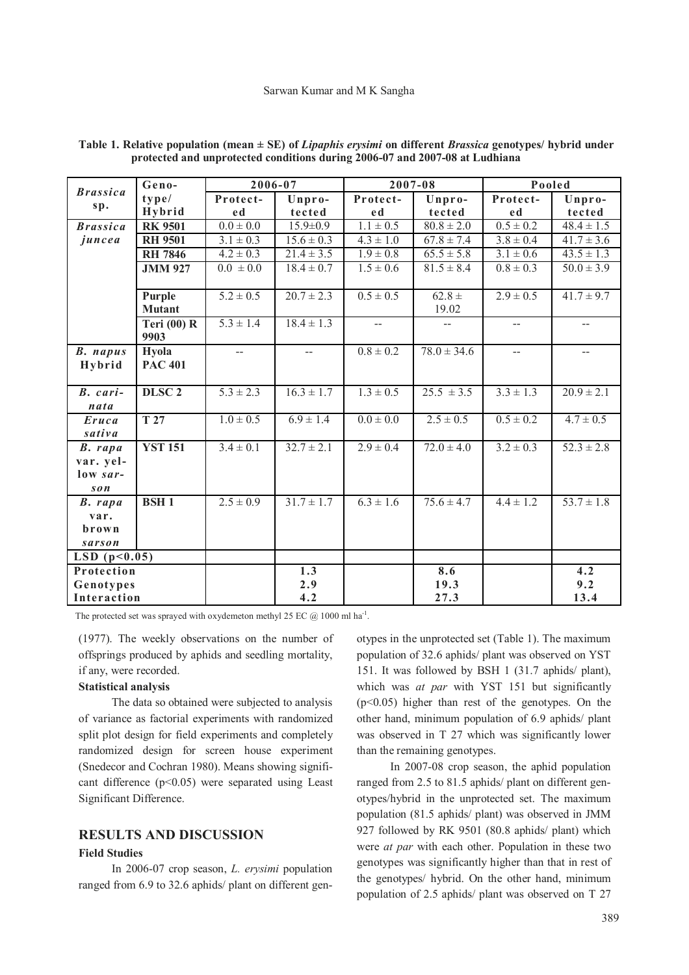### Sarwan Kumar and M K Sangha

| <b>Brassica</b>       | Geno-                 | 2006-07                  |                           | 2007-08       |                 | Pooled        |                |
|-----------------------|-----------------------|--------------------------|---------------------------|---------------|-----------------|---------------|----------------|
|                       | type/                 | Protect-                 | Unpro-                    | Protect-      | Unpro-          | Protect-      | Unpro-         |
| sp.                   | Hybrid                | e d                      | tected                    | e d           | tected          | e d           | tected         |
| <b>Brassica</b>       | <b>RK 9501</b>        | $0.0 \pm 0.0$            | $15.9 \pm 0.9$            | $1.1 \pm 0.5$ | $80.8 \pm 2.0$  | $0.5 \pm 0.2$ | $48.4 \pm 1.5$ |
| juncea                | <b>RH 9501</b>        | $3.1 \pm 0.3$            | $15.6 \pm 0.3$            | $4.3 \pm 1.0$ | $67.8 \pm 7.4$  | $3.8 \pm 0.4$ | $41.7 \pm 3.6$ |
|                       | <b>RH 7846</b>        | $4.2 \pm 0.3$            | $21.4 \pm 3.5$            | $1.9 \pm 0.8$ | $65.5 \pm 5.8$  | $3.1 \pm 0.6$ | $43.5 \pm 1.3$ |
|                       | <b>JMM 927</b>        | $\overline{0.0} \pm 0.0$ | $\overline{18.4} \pm 0.7$ | $1.5 \pm 0.6$ | $81.5 \pm 8.4$  | $0.8 \pm 0.3$ | $50.0 \pm 3.9$ |
|                       |                       |                          |                           |               |                 |               |                |
|                       | Purple                | $5.2 \pm 0.5$            | $20.7 \pm 2.3$            | $0.5 \pm 0.5$ | $62.8 \pm$      | $2.9 \pm 0.5$ | $41.7 \pm 9.7$ |
|                       | <b>Mutant</b>         |                          |                           |               | 19.02           |               |                |
|                       | Teri $(00)$ R<br>9903 | $5.3 \pm 1.4$            | $18.4 \pm 1.3$            | $- -$         | --              |               | $-$            |
| <b>B.</b> napus       | Hyola                 | --                       | $\overline{a}$            | $0.8 \pm 0.2$ | $78.0 \pm 34.6$ | $-$           | $-$            |
| Hybrid                | <b>PAC 401</b>        |                          |                           |               |                 |               |                |
|                       |                       |                          |                           |               |                 |               |                |
| B. cari-              | DLSC <sub>2</sub>     | $5.3 \pm 2.3$            | $16.3 \pm 1.7$            | $1.3 \pm 0.5$ | $25.5 \pm 3.5$  | $3.3 \pm 1.3$ | $20.9 \pm 2.1$ |
| nata                  |                       |                          |                           |               |                 |               |                |
| Eruca                 | T 27                  | $1.0 \pm 0.5$            | $6.9 \pm 1.4$             | $0.0 \pm 0.0$ | $2.5 \pm 0.5$   | $0.5 \pm 0.2$ | $4.7 \pm 0.5$  |
| sativa                |                       |                          |                           |               |                 |               |                |
| B. rapa               | <b>YST 151</b>        | $3.4 \pm 0.1$            | $32.7 \pm 2.1$            | $2.9 \pm 0.4$ | $72.0 \pm 4.0$  | $3.2 \pm 0.3$ | $52.3 \pm 2.8$ |
| var. yel-<br>low sar- |                       |                          |                           |               |                 |               |                |
| son                   |                       |                          |                           |               |                 |               |                |
| B. rapa               | <b>BSH1</b>           | $2.5 \pm 0.9$            | $31.7 \pm 1.7$            | $6.3 \pm 1.6$ | $75.6 \pm 4.7$  | $4.4 \pm 1.2$ | $53.7 \pm 1.8$ |
| var.                  |                       |                          |                           |               |                 |               |                |
| brown                 |                       |                          |                           |               |                 |               |                |
| sarson                |                       |                          |                           |               |                 |               |                |
| LSD $(p<0.05)$        |                       |                          |                           |               |                 |               |                |
| Protection            |                       |                          | 1.3                       |               | 8.6             |               | 4.2            |
| Genotypes             |                       |                          | 2.9                       |               | 19.3            |               | 9.2            |
| Interaction           |                       |                          | 4.2                       |               | 27.3            |               | 13.4           |

**Table 1. Relative population (mean ± SE) of** *Lipaphis erysimi* **on different** *Brassica* **genotypes/ hybrid under protected and unprotected conditions during 2006-07 and 2007-08 at Ludhiana**

The protected set was sprayed with oxydemeton methyl 25 EC  $@$  1000 ml ha<sup>-1</sup>.

(1977). The weekly observations on the number of offsprings produced by aphids and seedling mortality, if any, were recorded.

### **Statistical analysis**

The data so obtained were subjected to analysis of variance as factorial experiments with randomized split plot design for field experiments and completely randomized design for screen house experiment (Snedecor and Cochran 1980). Means showing significant difference  $(p<0.05)$  were separated using Least Significant Difference.

# **RESULTS AND DISCUSSION**

### **Field Studies**

In 2006-07 crop season, *L. erysimi* population ranged from 6.9 to 32.6 aphids/ plant on different genotypes in the unprotected set (Table 1). The maximum population of 32.6 aphids/ plant was observed on YST 151. It was followed by BSH 1 (31.7 aphids/ plant), which was *at par* with YST 151 but significantly  $(p<0.05)$  higher than rest of the genotypes. On the other hand, minimum population of 6.9 aphids/ plant was observed in T 27 which was significantly lower than the remaining genotypes.

In 2007-08 crop season, the aphid population ranged from 2.5 to 81.5 aphids/ plant on different genotypes/hybrid in the unprotected set. The maximum population (81.5 aphids/ plant) was observed in JMM 927 followed by RK 9501 (80.8 aphids/ plant) which were *at par* with each other. Population in these two genotypes was significantly higher than that in rest of the genotypes/ hybrid. On the other hand, minimum population of 2.5 aphids/ plant was observed on T 27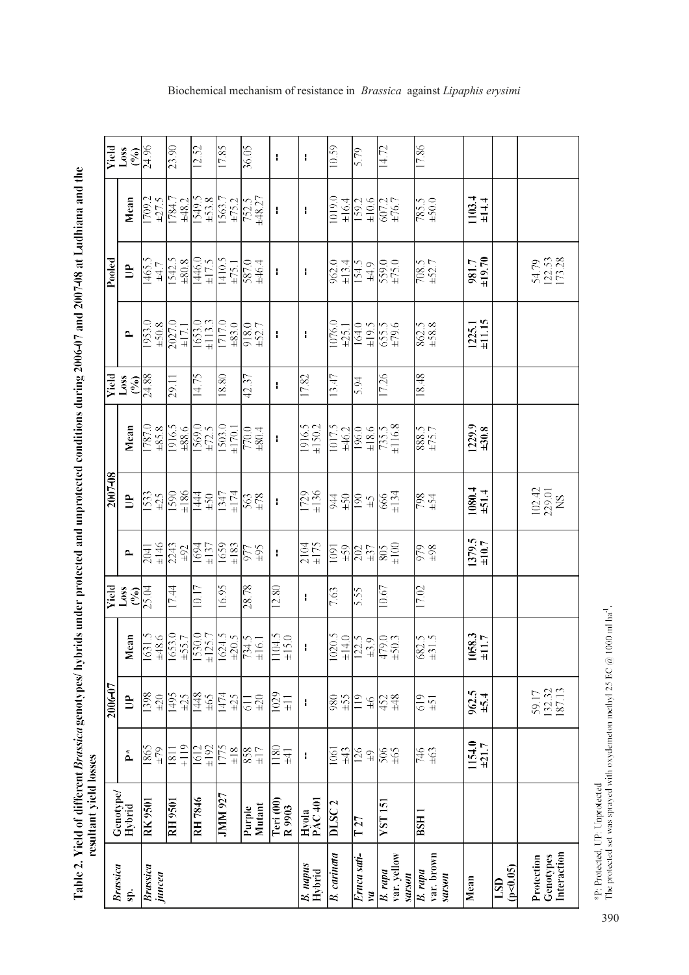Table 2. Yield of different *Brassica* genotypes/ hybrids under protected and unprotected conditions during 2006-07 and 2007-08 at Ludhiana and the<br>resultant yield losses

|         | <b>Yield</b><br>Loss                    | $\frac{6}{24.96}$         | 23.90                                                  | 12.52                                                                                                                                                           | 17.85                                 | 36.05                                                                                                                                        | ł                                                                                                                                                                                                                                                                                                                                                                                | $\mathbf{I}$              | 10.59                      | 5.79                                                                                                                 | 14.72                            | 17.86                           |                         |               |                                                           |
|---------|-----------------------------------------|---------------------------|--------------------------------------------------------|-----------------------------------------------------------------------------------------------------------------------------------------------------------------|---------------------------------------|----------------------------------------------------------------------------------------------------------------------------------------------|----------------------------------------------------------------------------------------------------------------------------------------------------------------------------------------------------------------------------------------------------------------------------------------------------------------------------------------------------------------------------------|---------------------------|----------------------------|----------------------------------------------------------------------------------------------------------------------|----------------------------------|---------------------------------|-------------------------|---------------|-----------------------------------------------------------|
|         | Mean                                    |                           |                                                        | $\begin{array}{r} 1709.2 \\ +27.5 \\ +27.5 \\ \hline 1784.7 \\ +48.2 \\ \hline 1549.5 \\ +53.8 \\ \hline 1563.7 \\ +75.2 \\ \hline 782.5 \\ +48.27 \end{array}$ |                                       |                                                                                                                                              | ł                                                                                                                                                                                                                                                                                                                                                                                | H                         | 1019.0                     | $\frac{\pm 16.4}{159.2}$<br>$\frac{\pm 10.6}{607.2}$                                                                 |                                  | $\frac{785.5}{+50.0}$           | $1103.4$<br>$\pm 14.4$  |               |                                                           |
| Pooled  | È                                       | $7465.5 + 4.7$            |                                                        | $\frac{1542.5}{\frac{146.0}{146.0}}$                                                                                                                            | $\frac{1410.5}{\frac{1475.1}{887.0}}$ |                                                                                                                                              | $\mathbf{I}$                                                                                                                                                                                                                                                                                                                                                                     | ł                         | $\frac{962.0}{\pm 13.4}$   | $\frac{154.5}{154.9}$                                                                                                |                                  | $\frac{708.5}{+52.7}$           | 981.7<br>±19.70         |               | 5479<br>122.53<br>173.28                                  |
|         | $\mathbf{p}$                            |                           | $\frac{1953.0}{\pm 50.8}$<br>$\frac{\pm 50.8}{2027.0}$ | $\frac{1653.0}{1113.3}$<br>$\frac{1113.3}{1717.0}$                                                                                                              |                                       | $918.0$<br>$\pm$ 52.7                                                                                                                        | ł                                                                                                                                                                                                                                                                                                                                                                                | ł                         | 1076.0<br>$\pm 25.1$       | $\frac{164.0}{164.5}$<br>$\frac{19.5}{65.5}$                                                                         |                                  | $\frac{862.5}{\pm 58.8}$        | $1225.1$<br>$\pm 11.15$ |               |                                                           |
|         | ssor<br>peix<br>$\mathcal{S}_{\bullet}$ | 24.88                     | 29.11                                                  | 14.75                                                                                                                                                           | 18.80                                 | 42.37                                                                                                                                        | Ŧ                                                                                                                                                                                                                                                                                                                                                                                | 17.82                     | 13.47                      | 5.94                                                                                                                 | 17.26                            | 18.48                           |                         |               |                                                           |
|         | Mean                                    | 8287<br>07871             | 1916.5<br>±88.6                                        | 1569.0<br>$\pm 72.5$                                                                                                                                            | $\frac{1503.0}{1500.1}$               | +0.0<br>0.0<br>0.0                                                                                                                           | $\begin{array}{c} \rule{0pt}{2.5ex} \rule{0pt}{2.5ex} \rule{0pt}{2.5ex} \rule{0pt}{2.5ex} \rule{0pt}{2.5ex} \rule{0pt}{2.5ex} \rule{0pt}{2.5ex} \rule{0pt}{2.5ex} \rule{0pt}{2.5ex} \rule{0pt}{2.5ex} \rule{0pt}{2.5ex} \rule{0pt}{2.5ex} \rule{0pt}{2.5ex} \rule{0pt}{2.5ex} \rule{0pt}{2.5ex} \rule{0pt}{2.5ex} \rule{0pt}{2.5ex} \rule{0pt}{2.5ex} \rule{0pt}{2.5ex} \rule{0$ | $1916.5$<br>$\pm 150.2$   | 1017.5                     | $\frac{\pm 46.2}{196.0}$ $\frac{\pm 18.6}{735.5}$                                                                    |                                  | $\frac{2885}{5.88}$             | $1229.9$<br>$\pm 30.8$  |               |                                                           |
| 2007-08 | $\mathbb{B}$                            | $\frac{525}{1533}$        | $\pm186$<br>$\frac{0651}{200}$                         | $057 + 20$                                                                                                                                                      | $\frac{1347}{+174}$                   | $563$<br>$\pm 78$                                                                                                                            | $\pmb{\cdot}$                                                                                                                                                                                                                                                                                                                                                                    | $\frac{1729}{1136}$       | $657 + 24$                 | $\approx$ $\frac{1}{2}$                                                                                              | $\frac{66}{6}$                   | $\frac{154}{36}$                | $1080.4$<br>$\pm 51.4$  |               | $\begin{array}{c} 102.42 \\ 229.01 \\ \rm NS \end{array}$ |
|         | $\mathbf{p}$                            | $1146$<br>$+146$          | 2243<br>+92                                            | 1694<br>$\pm 137$                                                                                                                                               | $\pm 183$<br>1659                     | £6∓                                                                                                                                          | ł                                                                                                                                                                                                                                                                                                                                                                                | $\frac{2104}{1175}$       | $\sqrt{\frac{1091}{150}}$  | $\frac{202}{137}$                                                                                                    | $\frac{805}{508}$                | $rac{6}{666}$                   | $1379.5$<br>$\pm 10.7$  |               |                                                           |
| Yield   | Loss<br>$($ % $)$                       | 25.04                     | 17.44                                                  | 10.17                                                                                                                                                           | 16.95                                 | 28.78                                                                                                                                        | 12.80                                                                                                                                                                                                                                                                                                                                                                            | ł                         | 7.63                       | 5.55                                                                                                                 | 10.67                            | $\overline{17.02}$              |                         |               |                                                           |
|         | <b>Tean</b><br>Σ                        |                           |                                                        |                                                                                                                                                                 |                                       | $\begin{array}{r} \n 1631.5 \\  +48.6 \\  +48.5 \\  \hline\n 1653.0 \\  +55.7 \\  +125.7 \\  +124.5 \\  \hline\n 161 \\  +161\n \end{array}$ | 1104.5<br>±15.0                                                                                                                                                                                                                                                                                                                                                                  | $\mathbf i$               |                            | $\begin{array}{r} \n 1020.5 \\  \hline\n 14.0 \\  \hline\n 12.5 \\  \hline\n 479.0 \\  \hline\n 479.3\n \end{array}$ |                                  | $\frac{682.5}{\pm 31.5}$        | $1058.3$<br>$\pm 11.7$  |               |                                                           |
| 2006-07 | È                                       | 8631<br>$\pm 20$          | $\frac{1495}{2}$<br>$\pm 25$                           | 1448<br>$59\pm$                                                                                                                                                 | 1474<br>$\pm 25$                      | $\pm 20$<br>$\overline{5}$                                                                                                                   | 1029<br>$\Xi$                                                                                                                                                                                                                                                                                                                                                                    | H                         | ±55<br>980                 | 119<br>$\mathfrak{P}$                                                                                                | $\frac{452}{438}$                | $\frac{619}{61}$                | $962.5$<br>$\pm 5.4$    |               | 59.17<br>132.32<br>187.13                                 |
|         | $\mathbf{\tilde{P}}$                    | 1865<br>$\pm 79$          | $+119$<br>$\overline{181}$                             | $\pm192$<br>1612                                                                                                                                                | $\overline{1775}$<br>$\pm 18$         | $rac{4}{834}$                                                                                                                                | 1180<br>$\pm 41$                                                                                                                                                                                                                                                                                                                                                                 | $\mathbf{I}$              | $\pm 43$<br>1061           | $\frac{6}{5}$                                                                                                        | $rac{505}{905}$                  | $\frac{9FL}{2}$<br>$\pm 63$     | 1154.0<br>+21.7         |               |                                                           |
|         | Genotype/<br>Hybrid                     | <b>RK9501</b>             | <b>RH</b> 9501                                         | RH 7846                                                                                                                                                         | <b>JMM 927</b>                        | Mutant<br>Purple                                                                                                                             | Teri (00)<br>R <sub>9903</sub>                                                                                                                                                                                                                                                                                                                                                   | Hyola<br>PAC 401          | $\overline{\text{DISC}}$ 2 | $\overline{T}27$                                                                                                     | $\overline{\text{VST}}$ 151      | $\overline{\text{SBI}}$         |                         |               |                                                           |
|         | <b>Brassica</b><br>$\ddot{\mathbf{S}}$  | <b>Brassica</b><br>juncea |                                                        |                                                                                                                                                                 |                                       |                                                                                                                                              |                                                                                                                                                                                                                                                                                                                                                                                  | <b>B.</b> napus<br>Hybrid | <b>B.</b> carinata         | Eruca sati-<br>$\overline{\mathbf{u}}$                                                                               | var. yellow<br>B. rapa<br>sarson | var. brown<br>B. rapa<br>sarson | Mean<br>LSD             | $(10 - 0.05)$ | Interaction<br>Genotypes<br>Protection                    |

 $*_{\rm F}$  Protected, UP: Unprotected  $$\rm The~energy$  are monoton methyl 25 EC  $@$  1000 ml ha  $1$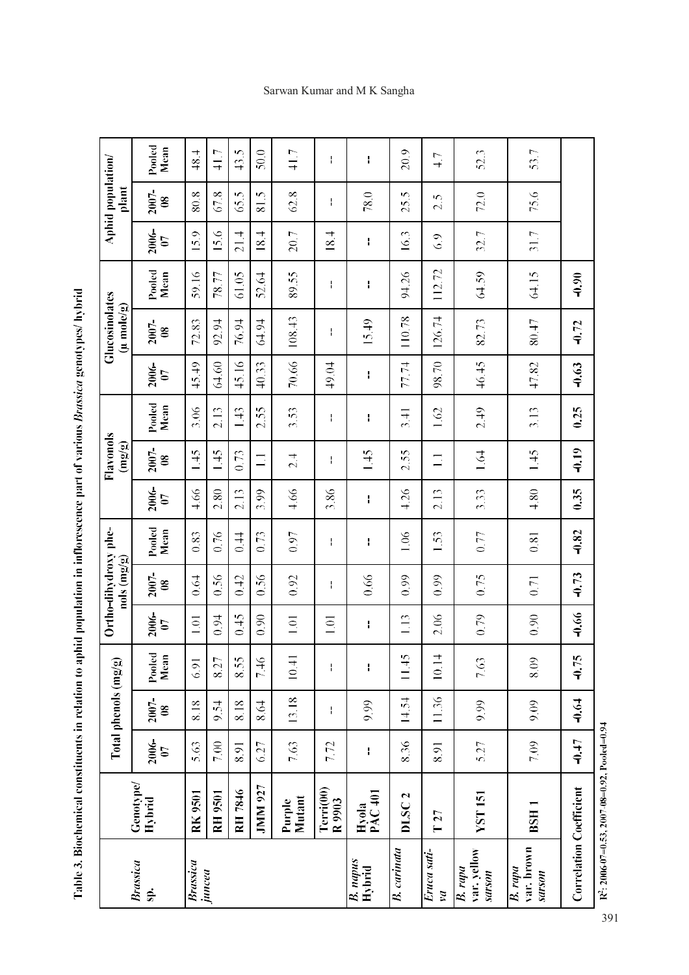Table 3. Biochemical constituents in relation to aphid population in inflorescence part of various Brassica genotypes/ hybrid

|                                 |                                                 |                         | Total phenols (mg/g)      |                    |                    | Ortho-dihydroxy phe-<br>$\log \frac{\log \log n}{n}$ |                |                                | Flavonols<br>(mg/g)                 |                |                                | <b>Glucosinolates</b><br>(u mole/g) |                |                                | Aphid population/<br>plant |                |
|---------------------------------|-------------------------------------------------|-------------------------|---------------------------|--------------------|--------------------|------------------------------------------------------|----------------|--------------------------------|-------------------------------------|----------------|--------------------------------|-------------------------------------|----------------|--------------------------------|----------------------------|----------------|
| <b>Brassica</b><br>sp.          | Genotype/<br>Hybrid                             | 2006-<br>$\overline{0}$ | 2007-<br>$\boldsymbol{8}$ | Pooled<br>Mean     | <b>2006-</b><br>07 | 2007-<br>$\boldsymbol{\mathcal{S}}$                  | Pooled<br>Mean | 2006-<br>$\boldsymbol{\theta}$ | 2007-<br>$\boldsymbol{\mathcal{S}}$ | Pooled<br>Mean | 2006-<br>$\boldsymbol{\theta}$ | 2007-<br>$\mathbf{8}$               | Pooled<br>Mean | 2006-<br>$\boldsymbol{\theta}$ | 2007-<br>$\mathbf{8}$      | Pooled<br>Mean |
| <b>Brassica</b>                 | <b>RK9501</b>                                   | 5.63                    | 8.18                      | 6.91               | 1.01               | 0.64                                                 | 0.83           | 4.66                           | 1.45                                | 3.06           | 45.49                          | 72.83                               | 59.16          | 15.9                           | 80.8                       | 48.4           |
| juncea                          | <b>RH 9501</b>                                  | 7.00                    | 9.54                      | 8.27               | 0.94               | 0.56                                                 | 0.76           | 2.80                           | 1.45                                | 2.13           | 64.60                          | 92.94                               | 78.77          | 15.6                           | 67.8                       | 41.7           |
|                                 | RH 7846                                         | 8.91                    | 8.18                      | 8.55               | 645                | 0.42                                                 | 0.44           | 2.13                           | 0.73                                | 143            | 45.16                          | 76.94                               | 61.05          | 21.4                           | 65.5                       | 43.5           |
|                                 | <b>JMM 927</b>                                  | 6.27                    | 8.64                      | 7.46               | 0.90               | 0.56                                                 | 0.73           | 3.99                           | $\Xi$                               | 2.55           | 40.33                          | 64.94                               | 52.64          | 18.4                           | Ċ.<br>$\overline{8}$       | 50.0           |
|                                 | Mutant<br>Purple                                | 7.63                    | 13.18                     | 10.41              | 1.01               | 0.92                                                 | 0.97           | 4.66                           | 2.4                                 | 3.53           | 70.66                          | 108.43                              | 89.55          | 20.7                           | 62.8                       | 41.7           |
|                                 | Terri(00)<br>R 9903                             | 7.72                    | ł                         | $\mathbf{I}$       | $\Xi$              | ł                                                    | ł              | 3.86                           | ł                                   | ł              | 49.04                          | ł                                   | ł              | 18.4                           | ł                          | ł              |
| <b>B.</b> napus<br>Hybrid       | PAC 401<br>Hyola                                | ł                       | 9.99                      | $\mathbf{I}$       | H                  | 0.66                                                 | H              | Ŧ                              | 1.45                                |                |                                | 15.49                               |                |                                | 78.0                       |                |
| B. carinata                     | DLSC <sub>2</sub>                               | 8.36                    | 14.54                     | 11.45              | 1.13               | 0.99                                                 | 1.06           | 4.26                           | 2.55                                | 3.41           | 77.74                          | 110.78                              | 94.26          | 16.3                           | 25.5                       | 20.9           |
| Eruca sati-<br>va               | T27                                             | 8.91                    | 11.36                     | 4<br>$\frac{1}{2}$ | 2.06               | 0.99                                                 | 1.53           | 2.13                           | $\Box$                              | 1.62           | 98.70                          | 126.74                              | 112.72         | 6.9                            | 2.5                        | 4.7            |
| var. yellow<br>B. rapa<br>uosan | <b>YST151</b>                                   | 5.27                    | 9.99                      | 7.63               | 0.79               | 0.75                                                 | $0.77$         | 3.33                           | 1.64                                | 2.49           | 46.45                          | 82.73                               | 64.59          | 32.7                           | 72.0                       | 52.3           |
| var. brown<br>B. rapa<br>uosans | BSH <sub>1</sub>                                | 7.09                    | 9.09                      | 8.09               | 0.90               | 0.71                                                 | 0.81           | 4.80                           | 1.45                                | 3.13           | 47.82                          | 80.47                               | 64.15          | 31.7                           | 75.6                       | 53.7           |
| <b>Correlation Coefficient</b>  |                                                 | $-0.47$                 | $-0.64$                   | $-0.75$            | -0.66              | $-0.73$                                              | $-0.82$        | 0.35                           | $-0.19$                             | 0.25           | $-0.63$                        | $-0.72$                             | $-0.90$        |                                |                            |                |
|                                 | $R^2$ : 2006-07=0.53, 2007-08=0.92, Pooled=0.94 |                         |                           |                    |                    |                                                      |                |                                |                                     |                |                                |                                     |                |                                |                            |                |

# Sarwan Kumar and M K Sangha

391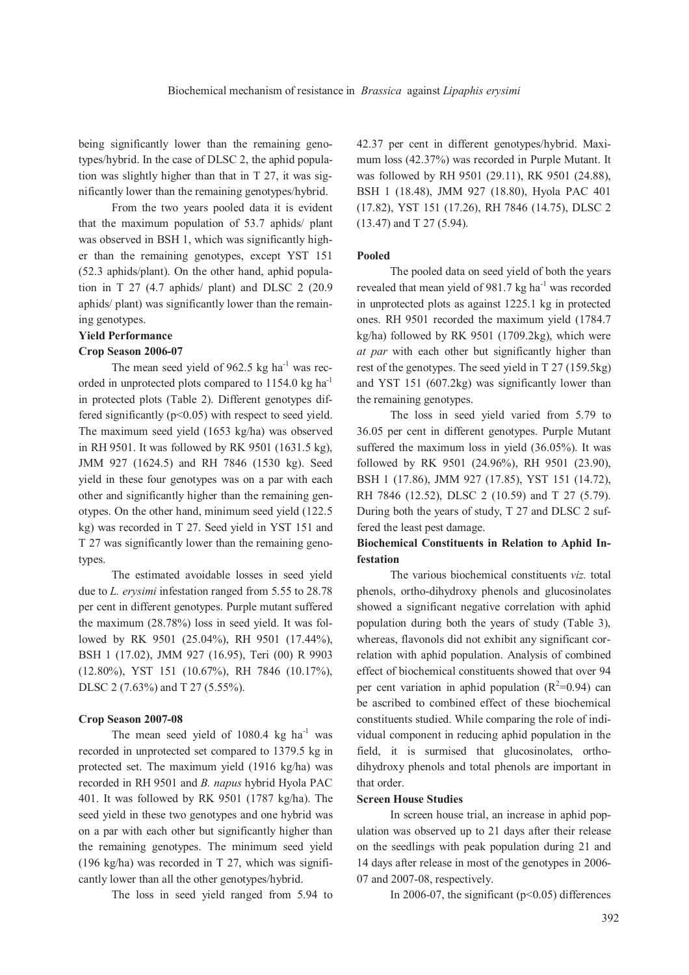being significantly lower than the remaining genotypes/hybrid. In the case of DLSC 2, the aphid population was slightly higher than that in T 27, it was significantly lower than the remaining genotypes/hybrid.

From the two years pooled data it is evident that the maximum population of 53.7 aphids/ plant was observed in BSH 1, which was significantly higher than the remaining genotypes, except YST 151 (52.3 aphids/plant). On the other hand, aphid population in T 27 (4.7 aphids/ plant) and DLSC 2 (20.9 aphids/ plant) was significantly lower than the remaining genotypes.

### **Yield Performance**

### **Crop Season 2006-07**

The mean seed yield of  $962.5$  kg ha<sup>-1</sup> was recorded in unprotected plots compared to 1154.0 kg ha<sup>-1</sup> in protected plots (Table 2). Different genotypes differed significantly  $(p<0.05)$  with respect to seed yield. The maximum seed yield (1653 kg/ha) was observed in RH 9501. It was followed by RK 9501 (1631.5 kg), JMM 927 (1624.5) and RH 7846 (1530 kg). Seed yield in these four genotypes was on a par with each other and significantly higher than the remaining genotypes. On the other hand, minimum seed yield (122.5 kg) was recorded in T 27. Seed yield in YST 151 and T 27 was significantly lower than the remaining genotypes.

The estimated avoidable losses in seed yield due to *L. erysimi* infestation ranged from 5.55 to 28.78 per cent in different genotypes. Purple mutant suffered the maximum (28.78%) loss in seed yield. It was followed by RK 9501 (25.04%), RH 9501 (17.44%), BSH 1 (17.02), JMM 927 (16.95), Teri (00) R 9903 (12.80%), YST 151 (10.67%), RH 7846 (10.17%), DLSC 2 (7.63%) and T 27 (5.55%).

### **Crop Season 2007-08**

The mean seed yield of  $1080.4$  kg ha<sup>-1</sup> was recorded in unprotected set compared to 1379.5 kg in protected set. The maximum yield (1916 kg/ha) was recorded in RH 9501 and *B. napus* hybrid Hyola PAC 401. It was followed by RK 9501 (1787 kg/ha). The seed yield in these two genotypes and one hybrid was on a par with each other but significantly higher than the remaining genotypes. The minimum seed yield (196 kg/ha) was recorded in T 27, which was significantly lower than all the other genotypes/hybrid.

The loss in seed yield ranged from 5.94 to

42.37 per cent in different genotypes/hybrid. Maximum loss (42.37%) was recorded in Purple Mutant. It was followed by RH 9501 (29.11), RK 9501 (24.88), BSH 1 (18.48), JMM 927 (18.80), Hyola PAC 401 (17.82), YST 151 (17.26), RH 7846 (14.75), DLSC 2 (13.47) and T 27 (5.94).

#### **Pooled**

The pooled data on seed yield of both the years revealed that mean yield of 981.7 kg ha<sup>-1</sup> was recorded in unprotected plots as against 1225.1 kg in protected ones. RH 9501 recorded the maximum yield (1784.7 kg/ha) followed by RK 9501 (1709.2kg), which were *at par* with each other but significantly higher than rest of the genotypes. The seed yield in T 27 (159.5kg) and YST 151 (607.2kg) was significantly lower than the remaining genotypes.

The loss in seed yield varied from 5.79 to 36.05 per cent in different genotypes. Purple Mutant suffered the maximum loss in yield (36.05%). It was followed by RK 9501 (24.96%), RH 9501 (23.90), BSH 1 (17.86), JMM 927 (17.85), YST 151 (14.72), RH 7846 (12.52), DLSC 2 (10.59) and T 27 (5.79). During both the years of study, T 27 and DLSC 2 suffered the least pest damage.

# **Biochemical Constituents in Relation to Aphid Infestation**

The various biochemical constituents *viz.* total phenols, ortho-dihydroxy phenols and glucosinolates showed a significant negative correlation with aphid population during both the years of study (Table 3), whereas, flavonols did not exhibit any significant correlation with aphid population. Analysis of combined effect of biochemical constituents showed that over 94 per cent variation in aphid population  $(R^2=0.94)$  can be ascribed to combined effect of these biochemical constituents studied. While comparing the role of individual component in reducing aphid population in the field, it is surmised that glucosinolates, orthodihydroxy phenols and total phenols are important in that order.

#### **Screen House Studies**

In screen house trial, an increase in aphid population was observed up to 21 days after their release on the seedlings with peak population during 21 and 14 days after release in most of the genotypes in 2006- 07 and 2007-08, respectively.

In 2006-07, the significant  $(p<0.05)$  differences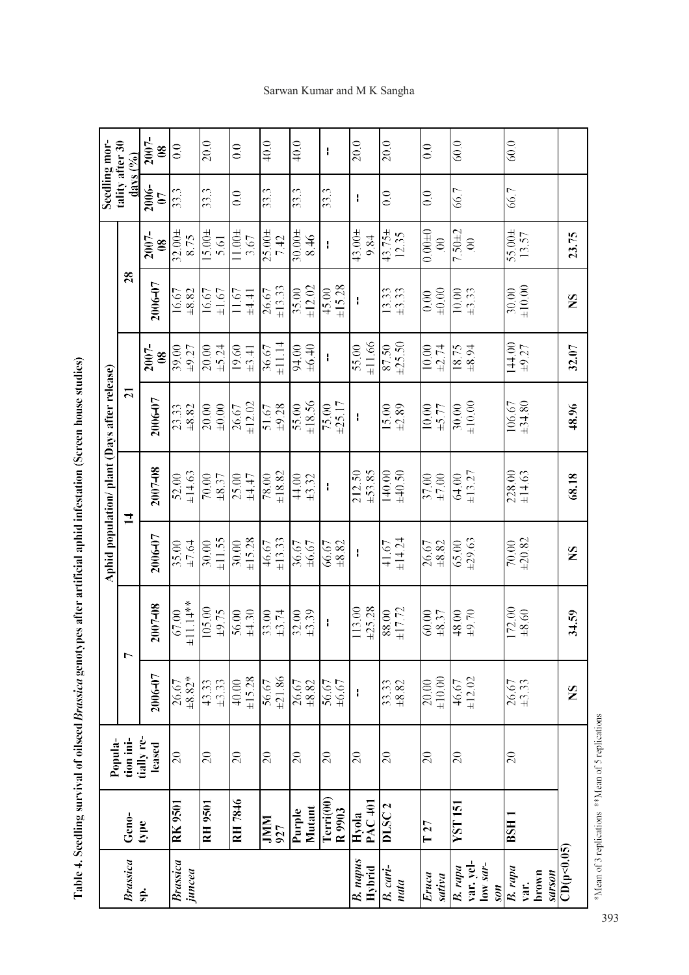|                                         |                         |                      |                                                  |                     |                     | Aphid population/ plant (Days after release) |                         |                        |                      |                              | Seedling mor-                   |                                  |
|-----------------------------------------|-------------------------|----------------------|--------------------------------------------------|---------------------|---------------------|----------------------------------------------|-------------------------|------------------------|----------------------|------------------------------|---------------------------------|----------------------------------|
| <b>Brassica</b>                         | Geno-                   | tion ini-<br>Popula- |                                                  | $\mathbf{\tau}$     |                     | $\overline{1}$                               | $\overline{\mathbf{z}}$ |                        | $\overline{28}$      |                              | tality after 30<br>days $(9/6)$ |                                  |
| Sp.                                     | type                    | tially re-<br>leased | 2006-07                                          | 2007-08             | 2006-07             | 2007-08                                      | 2006-07                 | 2007-<br>$\frac{8}{2}$ | 2006-07              | 2007-<br>$\infty$            | 2006-<br>$\overline{0}$         | 2007-<br>$\overline{\mathbf{8}}$ |
| <b>Brassica</b><br>juncea               | <b>RK 9501</b>          | $\overline{20}$      | $\pm 8.82*$<br>26.67                             | $±11.14**$<br>67.00 | 35.00<br>±7.64      | ±14,63<br>52.00                              | 23.33<br>±8.82          | $\pm$ 9.27<br>39.00    | ±8.82<br>16.67       | $32.00 +$<br>8.75            | 33.3                            | $\overline{0.0}$                 |
|                                         | <b>RH 9501</b>          | $\overline{0}$       | 43.33<br>$\pm 3.33$                              | 105.00<br>±9.75     | ±11.55<br>30.00     | $\pm 8.37$<br>$70.00$                        | $\pm 0.00$<br>20.00     | ±5.24<br>20.00         | $\pm 1.67$<br>16.67  | $15.00 \pm$<br>5.61          | 33.3                            | 20.0                             |
|                                         | RH 7846                 | $\overline{c}$       | ±15.28<br>40.00                                  | $\pm 4.30$<br>56.00 | ±15.28<br>30.00     | $\pm 4.47$<br>25.00                          | ±12.02<br>26.67         | 19.60<br>±3.41         | 11.67<br>±4.41       | $11.00 +$<br>3.67            | $\frac{0}{2}$                   | $\overline{0.0}$                 |
|                                         | <b>NINI</b><br>927      | $\overline{0}$       | ±21.86<br>56.67                                  | 33.00<br>±3.74      | ±13.33<br>46.67     | ±18.82<br>78.00                              | $\pm 9.28$<br>51.67     | $\pm 11.14$<br>36.67   | ±13.33<br>26.67      | $25.00 +$<br>7.42            | 33.3                            | 40.0                             |
|                                         | Mutant<br><b>Purple</b> | $\overline{20}$      | $\begin{array}{c} 26.67 \\ \pm 8.82 \end{array}$ | $\pm 3.39$<br>32.00 | $\pm 6.67$<br>36.67 | $\pm 3.32$<br>44.00                          | ±18.56<br>55.00         | ±6.40<br>94.00         | ±12.02<br>35.00      | $30.00 +$<br>8.46            | 33.3                            | 40.0                             |
|                                         | Terri(00)<br>R 9903     | $\overline{c}$       | ±6.67<br>56.67                                   | $\mathbf i$         | $\pm 8.82$<br>66.67 | ł                                            | ±25.17<br>75.00         | ł                      | ±15.28<br>45.00      | ł                            | 33.3                            | ł                                |
| <b>B.</b> napus<br>Hybrid               | Hyola<br>PAC 401        | $\overline{20}$      | ł                                                | ±25.28<br>113.00    | ł                   | ±53.85<br>212.50                             | ł                       | ±11.66<br>55.00        | ł                    | $43.00 +$<br>9.84            | ł                               | 20.0                             |
| B. cari-<br>nata                        | <b>DLSC2</b>            | $\overline{20}$      | $\pm 8.82$<br>33.33                              | ±17.72<br>88.00     | ±14.24<br>41.67     | 140.00<br>±40.50                             | ±2.89<br>15.00          | ±25.50<br>87.50        | 13.33<br>$\pm 3.33$  | $43.75 \pm$<br>12.35         | $\frac{1}{2}$                   | 20.0                             |
| Eruca<br>sativa                         | T27                     | $\overline{c}$       | ±10.00<br>20.00                                  | 60.00<br>±8.37      | $\pm 8.82$<br>26.67 | 37.00<br>$\pm 7.00$                          | 10.00<br>±5.77          | 10.00<br>±2.74         | $+0.00$<br>0.00      | $0.00 + 0$<br>$\overline{0}$ | 0.0                             | $\frac{0}{2}$                    |
| var. yel-<br>low sar-<br>B. rapa<br>nos | YST 151                 | $\overline{20}$      | ±12.02<br>46.67                                  | $+9.70$<br>48.00    | ±29.63<br>65.00     | ±13.27<br>64.00                              | ±10.00<br>30.00         | 18.75<br>$+8.94$       | $\pm 3.33$<br>10.00  | $7.50\pm2$<br>$\mathcal{S}$  | 66.7                            | 60.0                             |
| B. rapa<br>brown<br>sarson<br>var.      | BSH <sub>1</sub>        | $\overline{c}$       | $26.67$<br>$\pm 3.33$                            | 172.00<br>±8.60     | ±20.82<br>70.00     | 228.00<br>±14.63                             | ±34.80<br>106.67        | 144.00<br>±9.27        | $\pm 10.00$<br>30.00 | $55.00 \pm$<br>13.57         | 66.7                            | 60.0                             |
| CD(p<0.05)                              |                         |                      | $\mathbf{S}$                                     | 34.59               | $\mathbf{S}$        | 68.18                                        | 48.96                   | 32.07                  | $\mathbf{S}$         | 23.75                        |                                 |                                  |

Table 4. Seedling survival of oilseed Brassica genotypes after artificial aphid infestation (Screen house studies)

\*Mean of 3 replications \*\*Mean of 5 replications

Sarwan Kumar and M K Sangha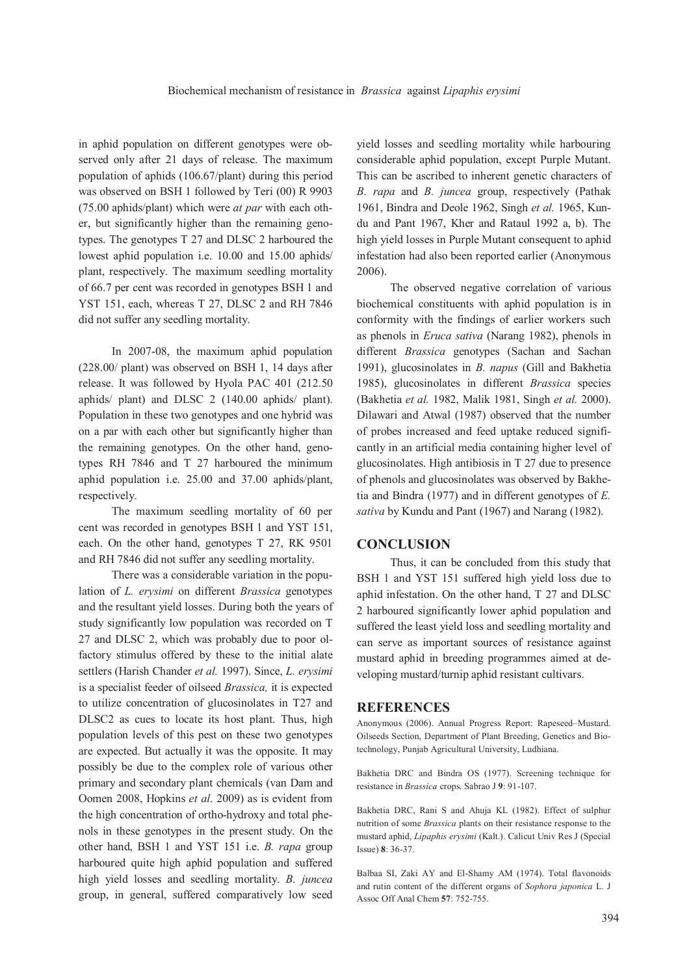in aphid population on different genotypes were observed only after 21 days of release. The maximum population of aphids (106.67/plant) during this period was observed on BSH 1 followed by Teri (00) R 9903 (75.00 aphids/plant) which were *at par* with each other, but significantly higher than the remaining genotypes. The genotypes T 27 and DLSC 2 harboured the lowest aphid population i.e. 10.00 and 15.00 aphids/ plant, respectively. The maximum seedling mortality of 66.7 per cent was recorded in genotypes BSH 1 and YST 151, each, whereas T 27, DLSC 2 and RH 7846 did not suffer any seedling mortality.

In 2007-08, the maximum aphid population (228.00/ plant) was observed on BSH 1, 14 days after release. It was followed by Hyola PAC 401 (212.50 aphids/ plant) and DLSC 2 (140.00 aphids/ plant). Population in these two genotypes and one hybrid was on a par with each other but significantly higher than the remaining genotypes. On the other hand, genotypes RH 7846 and T 27 harboured the minimum aphid population i.e. 25.00 and 37.00 aphids/plant, respectively.

The maximum seedling mortality of 60 per cent was recorded in genotypes BSH 1 and YST 151, each. On the other hand, genotypes T 27, RK 9501 and RH 7846 did not suffer any seedling mortality.

There was a considerable variation in the population of *L. erysimi* on different *Brassica* genotypes and the resultant yield losses. During both the years of study significantly low population was recorded on T 27 and DLSC 2, which was probably due to poor olfactory stimulus offered by these to the initial alate settlers (Harish Chander *et al.* 1997). Since, *L. erysimi*  is a specialist feeder of oilseed *Brassica,* it is expected to utilize concentration of glucosinolates in T27 and DLSC2 as cues to locate its host plant. Thus, high population levels of this pest on these two genotypes are expected. But actually it was the opposite. It may possibly be due to the complex role of various other primary and secondary plant chemicals (van Dam and Oomen 2008, Hopkins *et al*. 2009) as is evident from the high concentration of ortho-hydroxy and total phenols in these genotypes in the present study. On the other hand, BSH 1 and YST 151 i.e. *B. rapa* group harboured quite high aphid population and suffered high yield losses and seedling mortality. *B. juncea* group, in general, suffered comparatively low seed

yield losses and seedling mortality while harbouring considerable aphid population, except Purple Mutant. This can be ascribed to inherent genetic characters of *B. rapa* and *B. juncea* group, respectively (Pathak 1961, Bindra and Deole 1962, Singh *et al.* 1965, Kundu and Pant 1967, Kher and Rataul 1992 a, b). The high yield losses in Purple Mutant consequent to aphid infestation had also been reported earlier (Anonymous 2006).

The observed negative correlation of various biochemical constituents with aphid population is in conformity with the findings of earlier workers such as phenols in *Eruca sativa* (Narang 1982), phenols in different *Brassica* genotypes (Sachan and Sachan 1991), glucosinolates in *B. napus* (Gill and Bakhetia 1985), glucosinolates in different *Brassica* species (Bakhetia *et al.* 1982, Malik 1981, Singh *et al.* 2000). Dilawari and Atwal (1987) observed that the number of probes increased and feed uptake reduced significantly in an artificial media containing higher level of glucosinolates. High antibiosis in T 27 due to presence of phenols and glucosinolates was observed by Bakhetia and Bindra (1977) and in different genotypes of *E. sativa* by Kundu and Pant (1967) and Narang (1982).

### **CONCLUSION**

Thus, it can be concluded from this study that BSH 1 and YST 151 suffered high yield loss due to aphid infestation. On the other hand, T 27 and DLSC 2 harboured significantly lower aphid population and suffered the least yield loss and seedling mortality and can serve as important sources of resistance against mustard aphid in breeding programmes aimed at developing mustard/turnip aphid resistant cultivars.

### **REFERENCES**

Anonymous (2006). Annual Progress Report: Rapeseed–Mustard. Oilseeds Section, Department of Plant Breeding, Genetics and Biotechnology, Punjab Agricultural University, Ludhiana.

Bakhetia DRC and Bindra OS (1977). Screening technique for resistance in *Brassica* crops. Sabrao J **9**: 91-107.

Bakhetia DRC, Rani S and Ahuja KL (1982). Effect of sulphur nutrition of some *Brassica* plants on their resistance response to the mustard aphid, *Lipaphis erysimi* (Kalt.). Calicut Univ Res J (Special Issue) **8**: 36-37.

Balbaa SI, Zaki AY and El-Shamy AM (1974). Total flavonoids and rutin content of the different organs of *Sophora japonica* L. J Assoc Off Anal Chem **57**: 752-755.